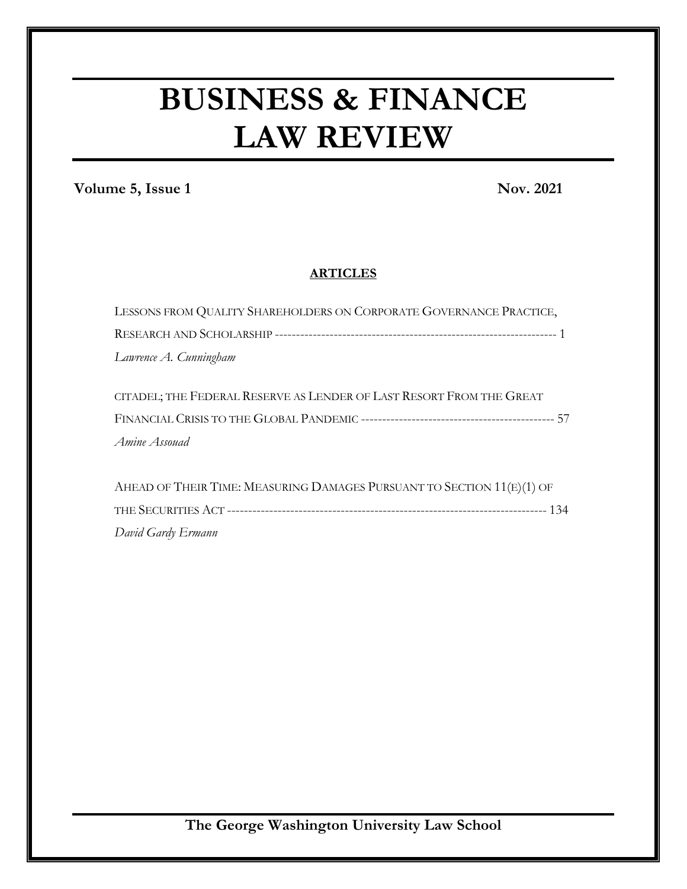# **BUSINESS & FINANCE LAW REVIEW**

**Volume 5, Issue 1** Nov. 2021

### **ARTICLES**

| LESSONS FROM QUALITY SHAREHOLDERS ON CORPORATE GOVERNANCE PRACTICE,    |
|------------------------------------------------------------------------|
|                                                                        |
| Lawrence A. Cunningham                                                 |
|                                                                        |
| CITADEL; THE FEDERAL RESERVE AS LENDER OF LAST RESORT FROM THE GREAT   |
|                                                                        |
| Amine Assouad                                                          |
|                                                                        |
| AHEAD OF THEIR TIME: MEASURING DAMAGES PURSUANT TO SECTION 11(E)(1) OF |
|                                                                        |
| David Gardy Ermann                                                     |

**The George Washington University Law School**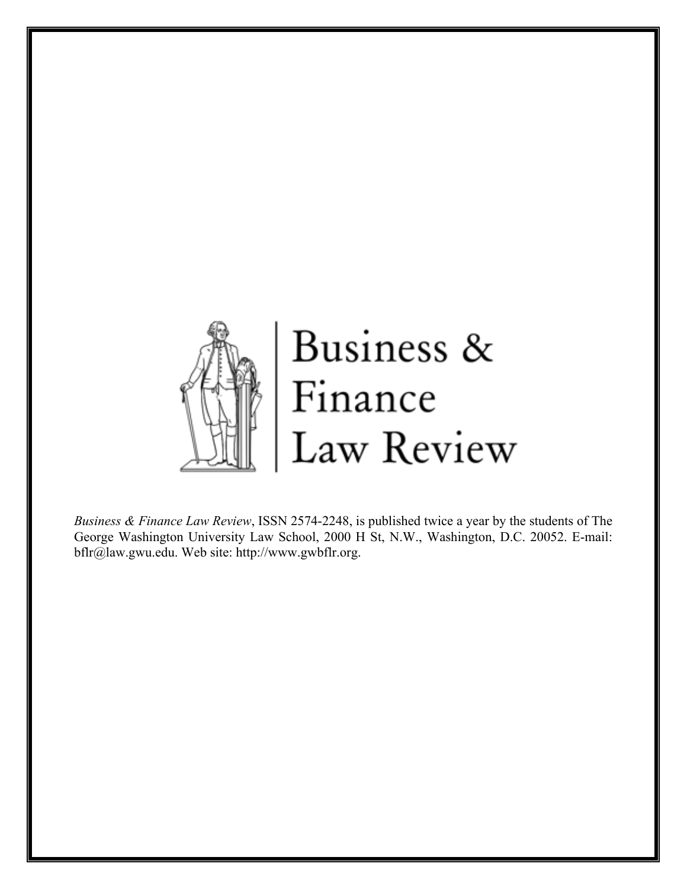

*Business & Finance Law Review*, ISSN 2574-2248, is published twice a year by the students of The George Washington University Law School, 2000 H St, N.W., Washington, D.C. 20052. E-mail: bflr@law.gwu.edu. Web site: http://www.gwbflr.org.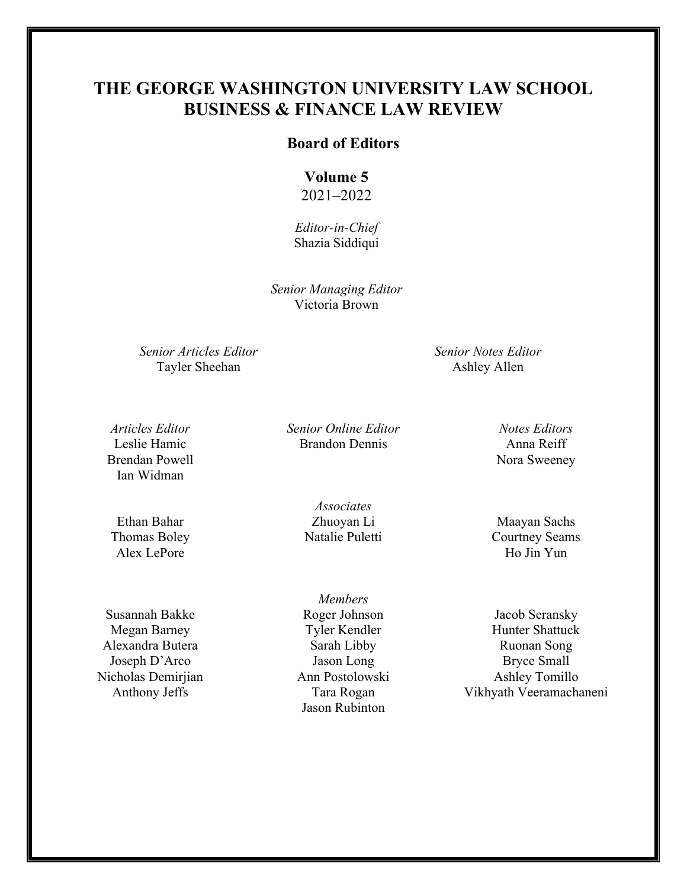### **THE GEORGE WASHINGTON UNIVERSITY LAW SCHOOL BUSINESS & FINANCE LAW REVIEW**

### **Board of Editors**

### **Volume 5** 2021–2022

*Editor-in-Chief* Shazia Siddiqui

*Senior Managing Editor* Victoria Brown

*Senior Articles Editor*  Tayler Sheehan

*Senior Notes Editor* Ashley Allen

*Articles Editor* Leslie Hamic Brendan Powell Ian Widman

Ethan Bahar Thomas Boley Alex LePore

Susannah Bakke Megan Barney Alexandra Butera Joseph D'Arco Nicholas Demirjian Anthony Jeffs

*Senior Online Editor* Brandon Dennis

*Notes Editors* Anna Reiff Nora Sweeney

*Associates* Zhuoyan Li Natalie Puletti

*Members* Roger Johnson Tyler Kendler Sarah Libby Jason Long Ann Postolowski Tara Rogan Jason Rubinton

Maayan Sachs Courtney Seams Ho Jin Yun

Jacob Seransky Hunter Shattuck Ruonan Song Bryce Small Ashley Tomillo Vikhyath Veeramachaneni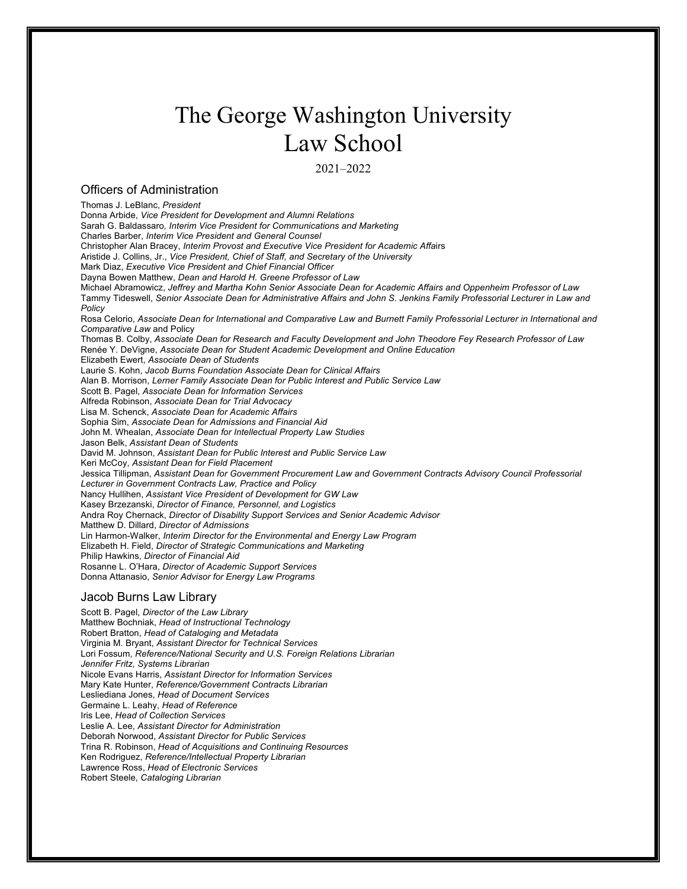## The George Washington University Law School

2021–2022

### Officers of Administration

Thomas J. LeBlanc, *President* Donna Arbide, *Vice President for Development and Alumni Relations* Sarah G. Baldassaro*, Interim Vice President for Communications and Marketing* Charles Barber, *Interim Vice President and General Counsel* Christopher Alan Bracey, *Interim Provost and Executive Vice President for Academic Affa*irs Aristide J. Collins, Jr., *Vice President, Chief of Staff, and Secretary of the University* Mark Diaz, *Executive Vice President and Chief Financial Officer* Dayna Bowen Matthew, *Dean and Harold H. Greene Professor of Law* Michael Abramowicz, *Jeffrey and Martha Kohn Senior Associate Dean for Academic Affairs and Oppenheim Professor of Law* Tammy Tideswell, *Senior Associate Dean for Administrative Affairs and John S. Jenkins Family Professorial Lecturer in Law and Policy* Rosa Celorio, *Associate Dean for International and Comparative Law and Burnett Family Professorial Lecturer in International and Comparative Law* and Policy Thomas B. Colby, *Associate Dean for Research and Faculty Development and John Theodore Fey Research Professor of Law* Renée Y. DeVigne, *Associate Dean for Student Academic Development and Online Education* Elizabeth Ewert, *Associate Dean of Students* Laurie S. Kohn, *Jacob Burns Foundation Associate Dean for Clinical Affairs* Alan B. Morrison, *Lerner Family Associate Dean for Public Interest and Public Service Law* Scott B. Pagel, *Associate Dean for Information Services* Alfreda Robinson, *Associate Dean for Trial Advocacy* Lisa M. Schenck, *Associate Dean for Academic Affairs* Sophia Sim, *Associate Dean for Admissions and Financial Aid* John M. Whealan, *Associate Dean for Intellectual Property Law Studies* Jason Belk, *Assistant Dean of Students* David M. Johnson, *Assistant Dean for Public Interest and Public Service Law* Keri McCoy, *Assistant Dean for Field Placement* Jessica Tillipman, *Assistant Dean for Government Procurement Law and Government Contracts Advisory Council Professorial Lecturer in Government Contracts Law, Practice and Policy* Nancy Hullihen, *Assistant Vice President of Development for GW Law* Kasey Brzezanski, *Director of Finance, Personnel, and Logistics* Andra Roy Chernack, *Director of Disability Support Services and Senior Academic Advisor* Matthew D. Dillard, *Director of Admissions* Lin Harmon-Walker, *Interim Director for the Environmental and Energy Law Program* Elizabeth H. Field, *Director of Strategic Communications and Marketing* Philip Hawkins, *Director of Financial Aid* Rosanne L. O'Hara, *Director of Academic Support Services* Donna Attanasio, *Senior Advisor for Energy Law Programs*

### Jacob Burns Law Library

Scott B. Pagel, *Director of the Law Library* Matthew Bochniak, *Head of Instructional Technology*  Robert Bratton, *Head of Cataloging and Metadata* Virginia M. Bryant, *Assistant Director for Technical Services* Lori Fossum, *Reference/National Security and U.S. Foreign Relations Librarian Jennifer Fritz, Systems Librarian* Nicole Evans Harris, *Assistant Director for Information Services* Mary Kate Hunter, *Reference/Government Contracts Librarian*  Lesliediana Jones, *Head of Document Services* Germaine L. Leahy, *Head of Reference* Iris Lee, *Head of Collection Services* Leslie A. Lee, *Assistant Director for Administration* Deborah Norwood, *Assistant Director for Public Services* Trina R. Robinson, *Head of Acquisitions and Continuing Resources*  Ken Rodriguez, *Reference/Intellectual Property Librarian* Lawrence Ross, *Head of Electronic Services* Robert Steele, *Cataloging Librarian*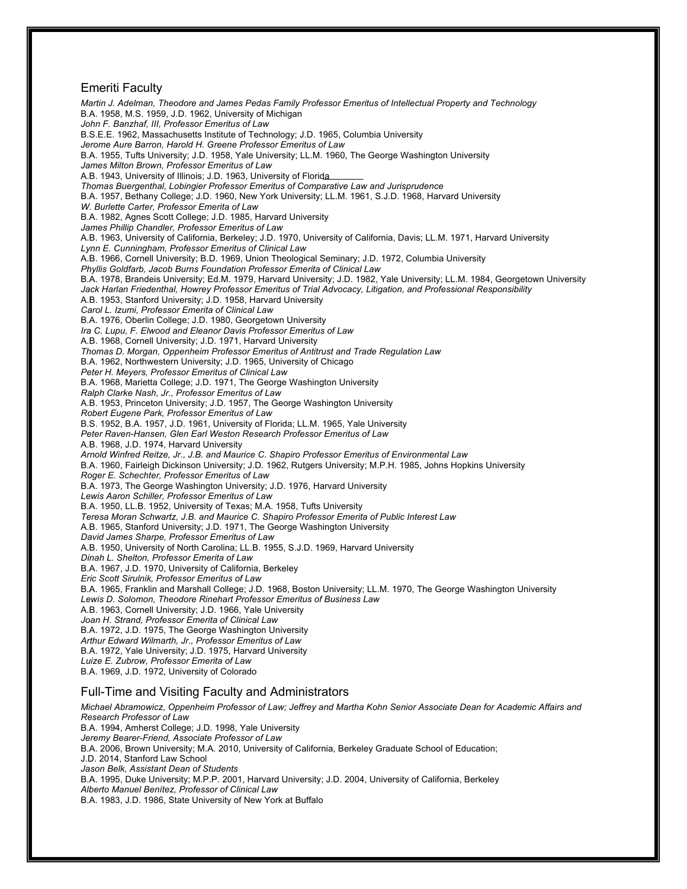### Emeriti Faculty

*Martin J. Adelman, Theodore and James Pedas Family Professor Emeritus of Intellectual Property and Technology* B.A. 1958, M.S. 1959, J.D. 1962, University of Michigan *John F. Banzhaf, III, Professor Emeritus of Law* B.S.E.E. 1962, Massachusetts Institute of Technology; J.D. 1965, Columbia University *Jerome Aure Barron, Harold H. Greene Professor Emeritus of Law* B.A. 1955, Tufts University; J.D. 1958, Yale University; LL.M. 1960, The George Washington University *James Milton Brown, Professor Emeritus of Law* A.B. 1943, University of Illinois; J.D. 1963, University of Florida *Thomas Buergenthal, Lobingier Professor Emeritus of Comparative Law and Jurisprudence* B.A. 1957, Bethany College; J.D. 1960, New York University; LL.M. 1961, S.J.D. 1968, Harvard University *W. Burlette Carter, Professor Emerita of Law* B.A. 1982, Agnes Scott College; J.D. 1985, Harvard University *James Phillip Chandler, Professor Emeritus of Law* A.B. 1963, University of California, Berkeley; J.D. 1970, University of California, Davis; LL.M. 1971, Harvard University *Lynn E. Cunningham, Professor Emeritus of Clinical Law* A.B. 1966, Cornell University; B.D. 1969, Union Theological Seminary; J.D. 1972, Columbia University *Phyllis Goldfarb, Jacob Burns Foundation Professor Emerita of Clinical Law* B.A. 1978, Brandeis University; Ed.M. 1979, Harvard University; J.D. 1982, Yale University; LL.M. 1984, Georgetown University *Jack Harlan Friedenthal, Howrey Professor Emeritus of Trial Advocacy, Litigation, and Professional Responsibility* A.B. 1953, Stanford University; J.D. 1958, Harvard University *Carol L. Izumi, Professor Emerita of Clinical Law* B.A. 1976, Oberlin College; J.D. 1980, Georgetown University *Ira C. Lupu, F. Elwood and Eleanor Davis Professor Emeritus of Law* A.B. 1968, Cornell University; J.D. 1971, Harvard University *Thomas D. Morgan, Oppenheim Professor Emeritus of Antitrust and Trade Regulation Law* B.A. 1962, Northwestern University; J.D. 1965, University of Chicago *Peter H. Meyers, Professor Emeritus of Clinical Law* B.A. 1968, Marietta College; J.D. 1971, The George Washington University *Ralph Clarke Nash, Jr., Professor Emeritus of Law* A.B. 1953, Princeton University; J.D. 1957, The George Washington University *Robert Eugene Park, Professor Emeritus of Law* B.S. 1952, B.A. 1957, J.D. 1961, University of Florida; LL.M. 1965, Yale University *Peter Raven-Hansen, Glen Earl Weston Research Professor Emeritus of Law* A.B. 1968, J.D. 1974, Harvard University *Arnold Winfred Reitze, Jr., J.B. and Maurice C. Shapiro Professor Emeritus of Environmental Law* B.A. 1960, Fairleigh Dickinson University; J.D. 1962, Rutgers University; M.P.H. 1985, Johns Hopkins University *Roger E. Schechter, Professor Emeritus of Law* B.A. 1973, The George Washington University; J.D. 1976, Harvard University *Lewis Aaron Schiller, Professor Emeritus of Law* B.A. 1950, LL.B. 1952, University of Texas; M.A. 1958, Tufts University *Teresa Moran Schwartz, J.B. and Maurice C. Shapiro Professor Emerita of Public Interest Law* A.B. 1965, Stanford University; J.D. 1971, The George Washington University *David James Sharpe, Professor Emeritus of Law* A.B. 1950, University of North Carolina; LL.B. 1955, S.J.D. 1969, Harvard University *Dinah L. Shelton, Professor Emerita of Law* B.A. 1967, J.D. 1970, University of California, Berkeley *Eric Scott Sirulnik, Professor Emeritus of Law* B.A. 1965, Franklin and Marshall College; J.D. 1968, Boston University; LL.M. 1970, The George Washington University *Lewis D. Solomon, Theodore Rinehart Professor Emeritus of Business Law* A.B. 1963, Cornell University; J.D. 1966, Yale University *Joan H. Strand, Professor Emerita of Clinical Law* B.A. 1972, J.D. 1975, The George Washington University *Arthur Edward Wilmarth, Jr., Professor Emeritus of Law* B.A. 1972, Yale University; J.D. 1975, Harvard University *Luize E. Zubrow, Professor Emerita of Law* B.A. 1969, J.D. 1972, University of Colorado Full-Time and Visiting Faculty and Administrators

*Michael Abramowicz, Oppenheim Professor of Law; Jeffrey and Martha Kohn Senior Associate Dean for Academic Affairs and Research Professor of Law* B.A. 1994, Amherst College; J.D. 1998, Yale University *Jeremy Bearer-Friend, Associate Professor of Law* B.A. 2006, Brown University; M.A. 2010, University of California, Berkeley Graduate School of Education; J.D. 2014, Stanford Law School *Jason Belk, Assistant Dean of Students* B.A. 1995, Duke University; M.P.P. 2001, Harvard University; J.D. 2004, University of California, Berkeley *Alberto Manuel Benítez, Professor of Clinical Law* B.A. 1983, J.D. 1986, State University of New York at Buffalo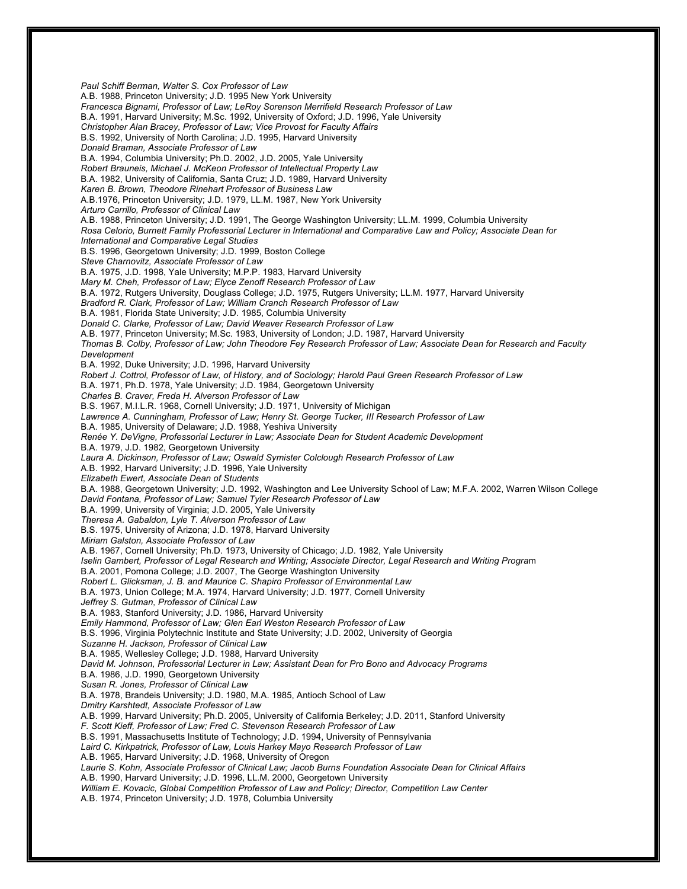*Paul Schiff Berman, Walter S. Cox Professor of Law* A.B. 1988, Princeton University; J.D. 1995 New York University *Francesca Bignami, Professor of Law; LeRoy Sorenson Merrifield Research Professor of Law* B.A. 1991, Harvard University; M.Sc. 1992, University of Oxford; J.D. 1996, Yale University *Christopher Alan Bracey, Professor of Law; Vice Provost for Faculty Affairs* B.S. 1992, University of North Carolina; J.D. 1995, Harvard University *Donald Braman, Associate Professor of Law* B.A. 1994, Columbia University; Ph.D. 2002, J.D. 2005, Yale University *Robert Brauneis, Michael J. McKeon Professor of Intellectual Property Law* B.A. 1982, University of California, Santa Cruz; J.D. 1989, Harvard University *Karen B. Brown, Theodore Rinehart Professor of Business Law* A.B.1976, Princeton University; J.D. 1979, LL.M. 1987, New York University *Arturo Carrillo, Professor of Clinical Law* A.B. 1988, Princeton University; J.D. 1991, The George Washington University; LL.M. 1999, Columbia University *Rosa Celorio, Burnett Family Professorial Lecturer in International and Comparative Law and Policy; Associate Dean for International and Comparative Legal Studies* B.S. 1996, Georgetown University; J.D. 1999, Boston College *Steve Charnovitz, Associate Professor of Law* B.A. 1975, J.D. 1998, Yale University; M.P.P. 1983, Harvard University *Mary M. Cheh, Professor of Law; Elyce Zenoff Research Professor of Law* B.A. 1972, Rutgers University, Douglass College; J.D. 1975, Rutgers University; LL.M. 1977, Harvard University *Bradford R. Clark, Professor of Law; William Cranch Research Professor of Law* B.A. 1981, Florida State University; J.D. 1985, Columbia University *Donald C. Clarke, Professor of Law; David Weaver Research Professor of Law* A.B. 1977, Princeton University; M.Sc. 1983, University of London; J.D. 1987, Harvard University *Thomas B. Colby, Professor of Law; John Theodore Fey Research Professor of Law; Associate Dean for Research and Faculty Development* B.A. 1992, Duke University; J.D. 1996, Harvard University *Robert J. Cottrol, Professor of Law, of History, and of Sociology; Harold Paul Green Research Professor of Law* B.A. 1971, Ph.D. 1978, Yale University; J.D. 1984, Georgetown University *Charles B. Craver, Freda H. Alverson Professor of Law* B.S. 1967, M.I.L.R. 1968, Cornell University; J.D. 1971, University of Michigan *Lawrence A. Cunningham, Professor of Law; Henry St. George Tucker, III Research Professor of Law* B.A. 1985, University of Delaware; J.D. 1988, Yeshiva University *Renée Y. DeVigne, Professorial Lecturer in Law; Associate Dean for Student Academic Development* B.A. 1979, J.D. 1982, Georgetown University *Laura A. Dickinson, Professor of Law; Oswald Symister Colclough Research Professor of Law* A.B. 1992, Harvard University; J.D. 1996, Yale University *Elizabeth Ewert, Associate Dean of Students* B.A. 1988, Georgetown University; J.D. 1992, Washington and Lee University School of Law; M.F.A. 2002, Warren Wilson College *David Fontana, Professor of Law; Samuel Tyler Research Professor of Law* B.A. 1999, University of Virginia; J.D. 2005, Yale University *Theresa A. Gabaldon, Lyle T. Alverson Professor of Law* B.S. 1975, University of Arizona; J.D. 1978, Harvard University *Miriam Galston, Associate Professor of Law* A.B. 1967, Cornell University; Ph.D. 1973, University of Chicago; J.D. 1982, Yale University *Iselin Gambert, Professor of Legal Research and Writing; Associate Director, Legal Research and Writing Progra*m B.A. 2001, Pomona College; J.D. 2007, The George Washington University *Robert L. Glicksman, J. B. and Maurice C. Shapiro Professor of Environmental Law* B.A. 1973, Union College; M.A. 1974, Harvard University; J.D. 1977, Cornell University *Jeffrey S. Gutman, Professor of Clinical Law* B.A. 1983, Stanford University; J.D. 1986, Harvard University *Emily Hammond, Professor of Law; Glen Earl Weston Research Professor of Law* B.S. 1996, Virginia Polytechnic Institute and State University; J.D. 2002, University of Georgia *Suzanne H. Jackson, Professor of Clinical Law* B.A. 1985, Wellesley College; J.D. 1988, Harvard University *David M. Johnson, Professorial Lecturer in Law; Assistant Dean for Pro Bono and Advocacy Programs* B.A. 1986, J.D. 1990, Georgetown University *Susan R. Jones, Professor of Clinical Law* B.A. 1978, Brandeis University; J.D. 1980, M.A. 1985, Antioch School of Law *Dmitry Karshtedt, Associate Professor of Law* A.B. 1999, Harvard University; Ph.D. 2005, University of California Berkeley; J.D. 2011, Stanford University *F. Scott Kieff, Professor of Law; Fred C. Stevenson Research Professor of Law* B.S. 1991, Massachusetts Institute of Technology; J.D. 1994, University of Pennsylvania *Laird C. Kirkpatrick, Professor of Law, Louis Harkey Mayo Research Professor of Law* A.B. 1965, Harvard University; J.D. 1968, University of Oregon *Laurie S. Kohn, Associate Professor of Clinical Law; Jacob Burns Foundation Associate Dean for Clinical Affairs* A.B. 1990, Harvard University; J.D. 1996, LL.M. 2000, Georgetown University *William E. Kovacic, Global Competition Professor of Law and Policy; Director, Competition Law Center* A.B. 1974, Princeton University; J.D. 1978, Columbia University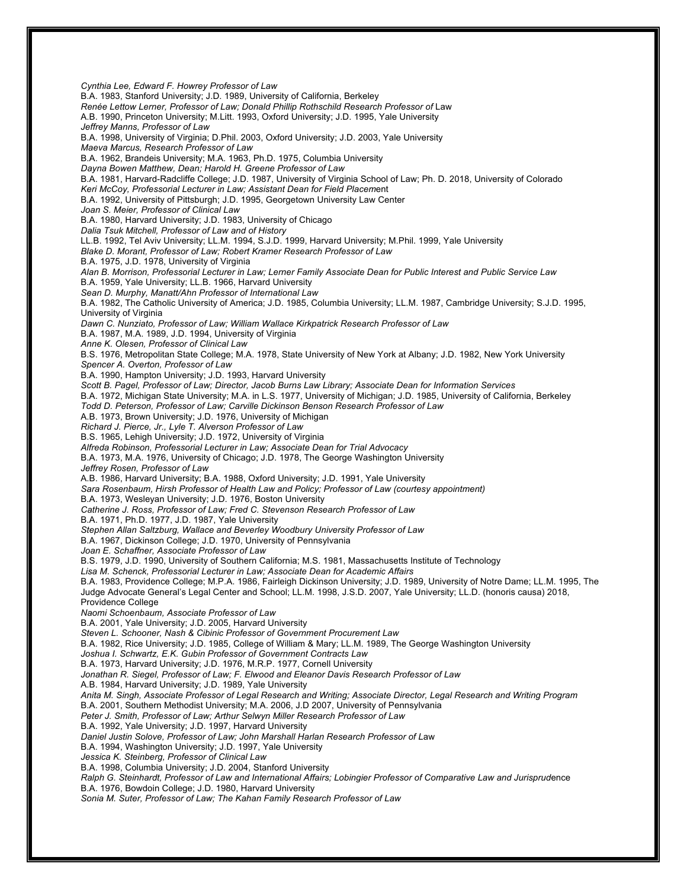*Cynthia Lee, Edward F. Howrey Professor of Law* B.A. 1983, Stanford University; J.D. 1989, University of California, Berkeley *Renée Lettow Lerner, Professor of Law; Donald Phillip Rothschild Research Professor of* Law A.B. 1990, Princeton University; M.Litt. 1993, Oxford University; J.D. 1995, Yale University *Jeffrey Manns, Professor of Law* B.A. 1998, University of Virginia; D.Phil. 2003, Oxford University; J.D. 2003, Yale University *Maeva Marcus, Research Professor of Law* B.A. 1962, Brandeis University; M.A. 1963, Ph.D. 1975, Columbia University *Dayna Bowen Matthew, Dean; Harold H. Greene Professor of Law* B.A. 1981, Harvard-Radcliffe College; J.D. 1987, University of Virginia School of Law; Ph. D. 2018, University of Colorado *Keri McCoy, Professorial Lecturer in Law; Assistant Dean for Field Placem*ent B.A. 1992, University of Pittsburgh; J.D. 1995, Georgetown University Law Center *Joan S. Meier, Professor of Clinical Law* B.A. 1980, Harvard University; J.D. 1983, University of Chicago *Dalia Tsuk Mitchell, Professor of Law and of History* LL.B. 1992, Tel Aviv University; LL.M. 1994, S.J.D. 1999, Harvard University; M.Phil. 1999, Yale University *Blake D. Morant, Professor of Law; Robert Kramer Research Professor of Law* B.A. 1975, J.D. 1978, University of Virginia *Alan B. Morrison, Professorial Lecturer in Law; Lerner Family Associate Dean for Public Interest and Public Service Law* B.A. 1959, Yale University; LL.B. 1966, Harvard University *Sean D. Murphy, Manatt/Ahn Professor of International Law* B.A. 1982, The Catholic University of America; J.D. 1985, Columbia University; LL.M. 1987, Cambridge University; S.J.D. 1995, University of Virginia *Dawn C. Nunziato, Professor of Law; William Wallace Kirkpatrick Research Professor of Law* B.A. 1987, M.A. 1989, J.D. 1994, University of Virginia *Anne K. Olesen, Professor of Clinical Law* B.S. 1976, Metropolitan State College; M.A. 1978, State University of New York at Albany; J.D. 1982, New York University *Spencer A. Overton, Professor of Law* B.A. 1990, Hampton University; J.D. 1993, Harvard University *Scott B. Pagel, Professor of Law; Director, Jacob Burns Law Library; Associate Dean for Information Services* B.A. 1972, Michigan State University; M.A. in L.S. 1977, University of Michigan; J.D. 1985, University of California, Berkeley *Todd D. Peterson, Professor of Law; Carville Dickinson Benson Research Professor of Law* A.B. 1973, Brown University; J.D. 1976, University of Michigan *Richard J. Pierce, Jr., Lyle T. Alverson Professor of Law* B.S. 1965, Lehigh University; J.D. 1972, University of Virginia *Alfreda Robinson, Professorial Lecturer in Law; Associate Dean for Trial Advocacy* B.A. 1973, M.A. 1976, University of Chicago; J.D. 1978, The George Washington University *Jeffrey Rosen, Professor of Law* A.B. 1986, Harvard University; B.A. 1988, Oxford University; J.D. 1991, Yale University *Sara Rosenbaum, Hirsh Professor of Health Law and Policy; Professor of Law (courtesy appointment)* B.A. 1973, Wesleyan University; J.D. 1976, Boston University *Catherine J. Ross, Professor of Law; Fred C. Stevenson Research Professor of Law* B.A. 1971, Ph.D. 1977, J.D. 1987, Yale University *Stephen Allan Saltzburg, Wallace and Beverley Woodbury University Professor of Law* B.A. 1967, Dickinson College; J.D. 1970, University of Pennsylvania *Joan E. Schaffner, Associate Professor of Law* B.S. 1979, J.D. 1990, University of Southern California; M.S. 1981, Massachusetts Institute of Technology *Lisa M. Schenck, Professorial Lecturer in Law; Associate Dean for Academic Affairs* B.A. 1983, Providence College; M.P.A. 1986, Fairleigh Dickinson University; J.D. 1989, University of Notre Dame; LL.M. 1995, The Judge Advocate General's Legal Center and School; LL.M. 1998, J.S.D. 2007, Yale University; LL.D. (honoris causa) 2018, Providence College *Naomi Schoenbaum, Associate Professor of Law* B.A. 2001, Yale University; J.D. 2005, Harvard University *Steven L. Schooner, Nash & Cibinic Professor of Government Procurement Law* B.A. 1982, Rice University; J.D. 1985, College of William & Mary; LL.M. 1989, The George Washington University *Joshua I. Schwartz, E.K. Gubin Professor of Government Contracts Law* B.A. 1973, Harvard University; J.D. 1976, M.R.P. 1977, Cornell University *Jonathan R. Siegel, Professor of Law; F. Elwood and Eleanor Davis Research Professor of Law* A.B. 1984, Harvard University; J.D. 1989, Yale University *Anita M. Singh, Associate Professor of Legal Research and Writing; Associate Director, Legal Research and Writing Program* B.A. 2001, Southern Methodist University; M.A. 2006, J.D 2007, University of Pennsylvania *Peter J. Smith, Professor of Law; Arthur Selwyn Miller Research Professor of Law* B.A. 1992, Yale University; J.D. 1997, Harvard University *Daniel Justin Solove, Professor of Law; John Marshall Harlan Research Professor of L*aw B.A. 1994, Washington University; J.D. 1997, Yale University *Jessica K. Steinberg, Professor of Clinical Law* B.A. 1998, Columbia University; J.D. 2004, Stanford University *Ralph G. Steinhardt, Professor of Law and International Affairs; Lobingier Professor of Comparative Law and Jurisprud*ence B.A. 1976, Bowdoin College; J.D. 1980, Harvard University *Sonia M. Suter, Professor of Law; The Kahan Family Research Professor of Law*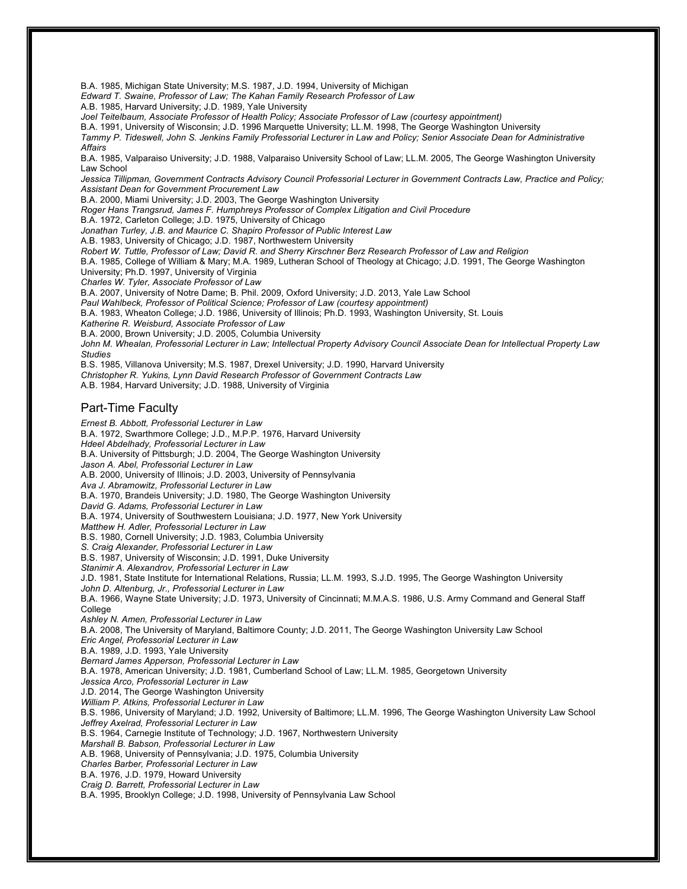B.A. 1985, Michigan State University; M.S. 1987, J.D. 1994, University of Michigan

*Edward T. Swaine, Professor of Law; The Kahan Family Research Professor of Law*

A.B. 1985, Harvard University; J.D. 1989, Yale University

*Joel Teitelbaum, Associate Professor of Health Policy; Associate Professor of Law (courtesy appointment)*

B.A. 1991, University of Wisconsin; J.D. 1996 Marquette University; LL.M. 1998, The George Washington University

*Tammy P. Tideswell, John S. Jenkins Family Professorial Lecturer in Law and Policy; Senior Associate Dean for Administrative Affairs*

B.A. 1985, Valparaiso University; J.D. 1988, Valparaiso University School of Law; LL.M. 2005, The George Washington University Law School

*Jessica Tillipman, Government Contracts Advisory Council Professorial Lecturer in Government Contracts Law, Practice and Policy; Assistant Dean for Government Procurement Law*

B.A. 2000, Miami University; J.D. 2003, The George Washington University

*Roger Hans Trangsrud, James F. Humphreys Professor of Complex Litigation and Civil Procedure*

B.A. 1972, Carleton College; J.D. 1975, University of Chicago

*Jonathan Turley, J.B. and Maurice C. Shapiro Professor of Public Interest Law*

A.B. 1983, University of Chicago; J.D. 1987, Northwestern University

*Robert W. Tuttle, Professor of Law; David R. and Sherry Kirschner Berz Research Professor of Law and Religion*

B.A. 1985, College of William & Mary; M.A. 1989, Lutheran School of Theology at Chicago; J.D. 1991, The George Washington University; Ph.D. 1997, University of Virginia

*Charles W. Tyler, Associate Professor of Law*

B.A. 2007, University of Notre Dame; B. Phil. 2009, Oxford University; J.D. 2013, Yale Law School

*Paul Wahlbeck, Professor of Political Science; Professor of Law (courtesy appointment)*

B.A. 1983, Wheaton College; J.D. 1986, University of Illinois; Ph.D. 1993, Washington University, St. Louis

*Katherine R. Weisburd, Associate Professor of Law*

B.A. 2000, Brown University; J.D. 2005, Columbia University

*John M. Whealan, Professorial Lecturer in Law; Intellectual Property Advisory Council Associate Dean for Intellectual Property Law Studies*

B.S. 1985, Villanova University; M.S. 1987, Drexel University; J.D. 1990, Harvard University

*Christopher R. Yukins, Lynn David Research Professor of Government Contracts Law*

A.B. 1984, Harvard University; J.D. 1988, University of Virginia

#### Part-Time Faculty

*Ernest B. Abbott, Professorial Lecturer in Law* B.A. 1972, Swarthmore College; J.D., M.P.P. 1976, Harvard University *Hdeel Abdelhady, Professorial Lecturer in Law* B.A. University of Pittsburgh; J.D. 2004, The George Washington University *Jason A. Abel, Professorial Lecturer in Law* A.B. 2000, University of Illinois; J.D. 2003, University of Pennsylvania *Ava J. Abramowitz, Professorial Lecturer in Law* B.A. 1970, Brandeis University; J.D. 1980, The George Washington University *David G. Adams, Professorial Lecturer in Law* B.A. 1974, University of Southwestern Louisiana; J.D. 1977, New York University *Matthew H. Adler, Professorial Lecturer in Law* B.S. 1980, Cornell University; J.D. 1983, Columbia University *S. Craig Alexander, Professorial Lecturer in Law* B.S. 1987, University of Wisconsin; J.D. 1991, Duke University *Stanimir A. Alexandrov, Professorial Lecturer in Law* J.D. 1981, State Institute for International Relations, Russia; LL.M. 1993, S.J.D. 1995, The George Washington University *John D. Altenburg, Jr., Professorial Lecturer in Law* B.A. 1966, Wayne State University; J.D. 1973, University of Cincinnati; M.M.A.S. 1986, U.S. Army Command and General Staff College *Ashley N. Amen, Professorial Lecturer in Law* B.A. 2008, The University of Maryland, Baltimore County; J.D. 2011, The George Washington University Law School *Eric Angel, Professorial Lecturer in Law* B.A. 1989, J.D. 1993, Yale University *Bernard James Apperson, Professorial Lecturer in Law* B.A. 1978, American University; J.D. 1981, Cumberland School of Law; LL.M. 1985, Georgetown University *Jessica Arco, Professorial Lecturer in Law* J.D. 2014, The George Washington University *William P. Atkins, Professorial Lecturer in Law* B.S. 1986, University of Maryland; J.D. 1992, University of Baltimore; LL.M. 1996, The George Washington University Law School *Jeffrey Axelrad, Professorial Lecturer in Law* B.S. 1964, Carnegie Institute of Technology; J.D. 1967, Northwestern University *Marshall B. Babson, Professorial Lecturer in Law* A.B. 1968, University of Pennsylvania; J.D. 1975, Columbia University *Charles Barber, Professorial Lecturer in Law* B.A. 1976, J.D. 1979, Howard University *Craig D. Barrett, Professorial Lecturer in Law* B.A. 1995, Brooklyn College; J.D. 1998, University of Pennsylvania Law School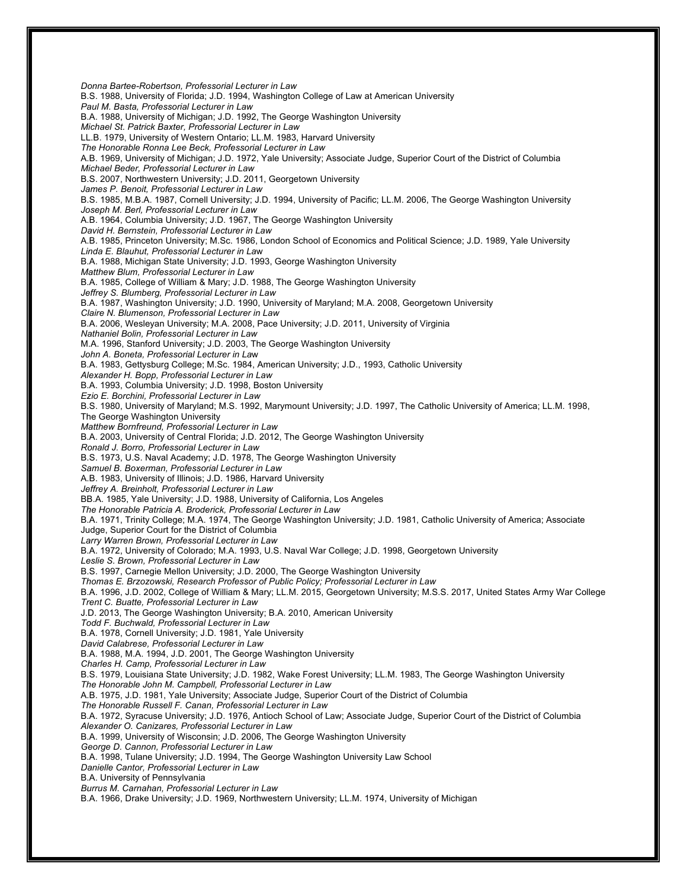*Donna Bartee-Robertson, Professorial Lecturer in Law* B.S. 1988, University of Florida; J.D. 1994, Washington College of Law at American University *Paul M. Basta, Professorial Lecturer in Law* B.A. 1988, University of Michigan; J.D. 1992, The George Washington University *Michael St. Patrick Baxter, Professorial Lecturer in Law* LL.B. 1979, University of Western Ontario; LL.M. 1983, Harvard University *The Honorable Ronna Lee Beck, Professorial Lecturer in Law* A.B. 1969, University of Michigan; J.D. 1972, Yale University; Associate Judge, Superior Court of the District of Columbia *Michael Beder, Professorial Lecturer in Law* B.S. 2007, Northwestern University; J.D. 2011, Georgetown University *James P. Benoit, Professorial Lecturer in Law* B.S. 1985, M.B.A. 1987, Cornell University; J.D. 1994, University of Pacific; LL.M. 2006, The George Washington University *Joseph M. Berl, Professorial Lecturer in Law* A.B. 1964, Columbia University; J.D. 1967, The George Washington University *David H. Bernstein, Professorial Lecturer in Law* A.B. 1985, Princeton University; M.Sc. 1986, London School of Economics and Political Science; J.D. 1989, Yale University *Linda E. Blauhut, Professorial Lecturer in La*w B.A. 1988, Michigan State University; J.D. 1993, George Washington University *Matthew Blum, Professorial Lecturer in Law* B.A. 1985, College of William & Mary; J.D. 1988, The George Washington University *Jeffrey S. Blumberg, Professorial Lecturer in Law* B.A. 1987, Washington University; J.D. 1990, University of Maryland; M.A. 2008, Georgetown University *Claire N. Blumenson, Professorial Lecturer in Law* B.A. 2006, Wesleyan University; M.A. 2008, Pace University; J.D. 2011, University of Virginia *Nathaniel Bolin, Professorial Lecturer in Law* M.A. 1996, Stanford University; J.D. 2003, The George Washington University *John A. Boneta, Professorial Lecturer in La*w B.A. 1983, Gettysburg College; M.Sc. 1984, American University; J.D., 1993, Catholic University *Alexander H. Bopp, Professorial Lecturer in Law* B.A. 1993, Columbia University; J.D. 1998, Boston University *Ezio E. Borchini, Professorial Lecturer in Law* B.S. 1980, University of Maryland; M.S. 1992, Marymount University; J.D. 1997, The Catholic University of America; LL.M. 1998, The George Washington University *Matthew Bornfreund, Professorial Lecturer in Law* B.A. 2003, University of Central Florida; J.D. 2012, The George Washington University *Ronald J. Borro, Professorial Lecturer in Law* B.S. 1973, U.S. Naval Academy; J.D. 1978, The George Washington University *Samuel B. Boxerman, Professorial Lecturer in Law* A.B. 1983, University of Illinois; J.D. 1986, Harvard University *Jeffrey A. Breinholt, Professorial Lecturer in Law* BB.A. 1985, Yale University; J.D. 1988, University of California, Los Angeles *The Honorable Patricia A. Broderick, Professorial Lecturer in Law* B.A. 1971, Trinity College; M.A. 1974, The George Washington University; J.D. 1981, Catholic University of America; Associate Judge, Superior Court for the District of Columbia *Larry Warren Brown, Professorial Lecturer in Law* B.A. 1972, University of Colorado; M.A. 1993, U.S. Naval War College; J.D. 1998, Georgetown University *Leslie S. Brown, Professorial Lecturer in Law* B.S. 1997, Carnegie Mellon University; J.D. 2000, The George Washington University *Thomas E. Brzozowski, Research Professor of Public Policy; Professorial Lecturer in Law* B.A. 1996, J.D. 2002, College of William & Mary; LL.M. 2015, Georgetown University; M.S.S. 2017, United States Army War College *Trent C. Buatte, Professorial Lecturer in Law* J.D. 2013, The George Washington University; B.A. 2010, American University *Todd F. Buchwald, Professorial Lecturer in Law* B.A. 1978, Cornell University; J.D. 1981, Yale University *David Calabrese, Professorial Lecturer in Law* B.A. 1988, M.A. 1994, J.D. 2001, The George Washington University *Charles H. Camp, Professorial Lecturer in Law* B.S. 1979, Louisiana State University; J.D. 1982, Wake Forest University; LL.M. 1983, The George Washington University *The Honorable John M. Campbell, Professorial Lecturer in Law* A.B. 1975, J.D. 1981, Yale University; Associate Judge, Superior Court of the District of Columbia *The Honorable Russell F. Canan, Professorial Lecturer in Law* B.A. 1972, Syracuse University; J.D. 1976, Antioch School of Law; Associate Judge, Superior Court of the District of Columbia *Alexander O. Canizares, Professorial Lecturer in Law* B.A. 1999, University of Wisconsin; J.D. 2006, The George Washington University *George D. Cannon, Professorial Lecturer in Law* B.A. 1998, Tulane University; J.D. 1994, The George Washington University Law School *Danielle Cantor, Professorial Lecturer in Law* B.A. University of Pennsylvania *Burrus M. Carnahan, Professorial Lecturer in Law* B.A. 1966, Drake University; J.D. 1969, Northwestern University; LL.M. 1974, University of Michigan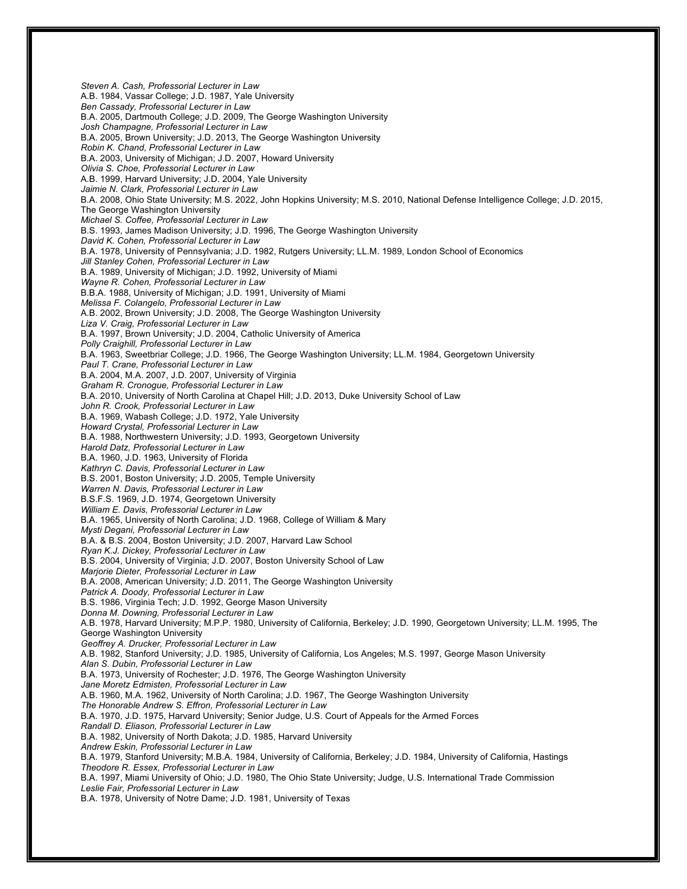*Steven A. Cash, Professorial Lecturer in Law* A.B. 1984, Vassar College; J.D. 1987, Yale University *Ben Cassady, Professorial Lecturer in Law* B.A. 2005, Dartmouth College; J.D. 2009, The George Washington University *Josh Champagne, Professorial Lecturer in Law* B.A. 2005, Brown University; J.D. 2013, The George Washington University *Robin K. Chand, Professorial Lecturer in Law* B.A. 2003, University of Michigan; J.D. 2007, Howard University *Olivia S. Choe, Professorial Lecturer in Law* A.B. 1999, Harvard University; J.D. 2004, Yale University *Jaimie N. Clark, Professorial Lecturer in Law* B.A. 2008, Ohio State University; M.S. 2022, John Hopkins University; M.S. 2010, National Defense Intelligence College; J.D. 2015, The George Washington University *Michael S. Coffee, Professorial Lecturer in Law* B.S. 1993, James Madison University; J.D. 1996, The George Washington University *David K. Cohen, Professorial Lecturer in Law* B.A. 1978, University of Pennsylvania; J.D. 1982, Rutgers University; LL.M. 1989, London School of Economics *Jill Stanley Cohen, Professorial Lecturer in Law* B.A. 1989, University of Michigan; J.D. 1992, University of Miami *Wayne R. Cohen, Professorial Lecturer in Law* B.B.A. 1988, University of Michigan; J.D. 1991, University of Miami *Melissa F. Colangelo, Professorial Lecturer in Law* A.B. 2002, Brown University; J.D. 2008, The George Washington University *Liza V. Craig, Professorial Lecturer in Law* B.A. 1997, Brown University; J.D. 2004, Catholic University of America *Polly Craighill, Professorial Lecturer in Law* B.A. 1963, Sweetbriar College; J.D. 1966, The George Washington University; LL.M. 1984, Georgetown University *Paul T. Crane, Professorial Lecturer in Law* B.A. 2004, M.A. 2007, J.D. 2007, University of Virginia *Graham R. Cronogue, Professorial Lecturer in Law* B.A. 2010, University of North Carolina at Chapel Hill; J.D. 2013, Duke University School of Law *John R. Crook, Professorial Lecturer in Law* B.A. 1969, Wabash College; J.D. 1972, Yale University *Howard Crystal, Professorial Lecturer in Law* B.A. 1988, Northwestern University; J.D. 1993, Georgetown University *Harold Datz, Professorial Lecturer in Law* B.A. 1960, J.D. 1963, University of Florida *Kathryn C. Davis, Professorial Lecturer in Law* B.S. 2001, Boston University; J.D. 2005, Temple University *Warren N. Davis, Professorial Lecturer in Law* B.S.F.S. 1969, J.D. 1974, Georgetown University *William E. Davis, Professorial Lecturer in Law* B.A. 1965, University of North Carolina; J.D. 1968, College of William & Mary *Mysti Degani, Professorial Lecturer in Law* B.A. & B.S. 2004, Boston University; J.D. 2007, Harvard Law School *Ryan K.J. Dickey, Professorial Lecturer in Law* B.S. 2004, University of Virginia; J.D. 2007, Boston University School of Law *Marjorie Dieter, Professorial Lecturer in Law* B.A. 2008, American University; J.D. 2011, The George Washington University *Patrick A. Doody, Professorial Lecturer in Law* B.S. 1986, Virginia Tech; J.D. 1992, George Mason University *Donna M. Downing, Professorial Lecturer in Law* A.B. 1978, Harvard University; M.P.P. 1980, University of California, Berkeley; J.D. 1990, Georgetown University; LL.M. 1995, The George Washington University *Geoffrey A. Drucker, Professorial Lecturer in Law* A.B. 1982, Stanford University; J.D. 1985, University of California, Los Angeles; M.S. 1997, George Mason University *Alan S. Dubin, Professorial Lecturer in Law* B.A. 1973, University of Rochester; J.D. 1976, The George Washington University *Jane Moretz Edmisten, Professorial Lecturer in Law* A.B. 1960, M.A. 1962, University of North Carolina; J.D. 1967, The George Washington University *The Honorable Andrew S. Effron, Professorial Lecturer in Law* B.A. 1970, J.D. 1975, Harvard University; Senior Judge, U.S. Court of Appeals for the Armed Forces *Randall D. Eliason, Professorial Lecturer in Law* B.A. 1982, University of North Dakota; J.D. 1985, Harvard University *Andrew Eskin, Professorial Lecturer in Law* B.A. 1979, Stanford University; M.B.A. 1984, University of California, Berkeley; J.D. 1984, University of California, Hastings *Theodore R. Essex, Professorial Lecturer in Law* B.A. 1997, Miami University of Ohio; J.D. 1980, The Ohio State University; Judge, U.S. International Trade Commission *Leslie Fair, Professorial Lecturer in Law* B.A. 1978, University of Notre Dame; J.D. 1981, University of Texas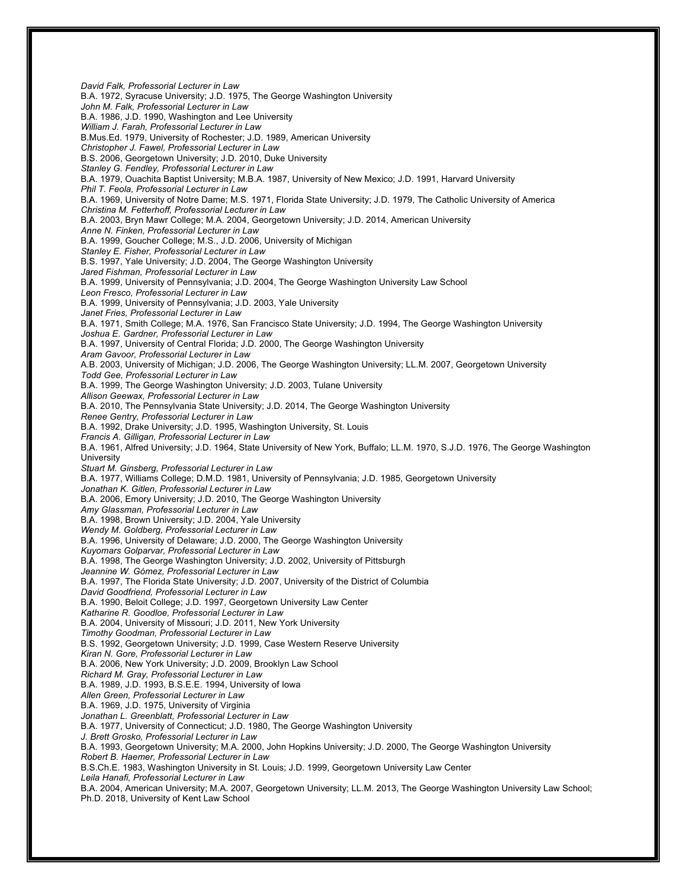*David Falk, Professorial Lecturer in Law* B.A. 1972, Syracuse University; J.D. 1975, The George Washington University *John M. Falk, Professorial Lecturer in Law* B.A. 1986, J.D. 1990, Washington and Lee University *William J. Farah, Professorial Lecturer in Law* B.Mus.Ed. 1979, University of Rochester; J.D. 1989, American University *Christopher J. Fawel, Professorial Lecturer in Law* B.S. 2006, Georgetown University; J.D. 2010, Duke University *Stanley G. Fendley, Professorial Lecturer in Law* B.A. 1979, Ouachita Baptist University; M.B.A. 1987, University of New Mexico; J.D. 1991, Harvard University *Phil T. Feola, Professorial Lecturer in Law* B.A. 1969, University of Notre Dame; M.S. 1971, Florida State University; J.D. 1979, The Catholic University of America *Christina M. Fetterhoff, Professorial Lecturer in Law* B.A. 2003, Bryn Mawr College; M.A. 2004, Georgetown University; J.D. 2014, American University *Anne N. Finken, Professorial Lecturer in Law* B.A. 1999, Goucher College; M.S., J.D. 2006, University of Michigan *Stanley E. Fisher, Professorial Lecturer in Law* B.S. 1997, Yale University; J.D. 2004, The George Washington University *Jared Fishman, Professorial Lecturer in Law* B.A. 1999, University of Pennsylvania; J.D. 2004, The George Washington University Law School *Leon Fresco, Professorial Lecturer in Law* B.A. 1999, University of Pennsylvania; J.D. 2003, Yale University *Janet Fries, Professorial Lecturer in Law* B.A. 1971, Smith College; M.A. 1976, San Francisco State University; J.D. 1994, The George Washington University *Joshua E. Gardner, Professorial Lecturer in Law* B.A. 1997, University of Central Florida; J.D. 2000, The George Washington University *Aram Gavoor, Professorial Lecturer in Law* A.B. 2003, University of Michigan; J.D. 2006, The George Washington University; LL.M. 2007, Georgetown University *Todd Gee, Professorial Lecturer in Law* B.A. 1999, The George Washington University; J.D. 2003, Tulane University *Allison Geewax, Professorial Lecturer in Law* B.A. 2010, The Pennsylvania State University; J.D. 2014, The George Washington University *Renee Gentry, Professorial Lecturer in Law* B.A. 1992, Drake University; J.D. 1995, Washington University, St. Louis *Francis A. Gilligan, Professorial Lecturer in Law* B.A. 1961, Alfred University; J.D. 1964, State University of New York, Buffalo; LL.M. 1970, S.J.D. 1976, The George Washington University *Stuart M. Ginsberg, Professorial Lecturer in Law* B.A. 1977, Williams College; D.M.D. 1981, University of Pennsylvania; J.D. 1985, Georgetown University *Jonathan K. Gitlen, Professorial Lecturer in Law* B.A. 2006, Emory University; J.D. 2010, The George Washington University *Amy Glassman, Professorial Lecturer in Law* B.A. 1998, Brown University; J.D. 2004, Yale University *Wendy M. Goldberg, Professorial Lecturer in Law* B.A. 1996, University of Delaware; J.D. 2000, The George Washington University *Kuyomars Golparvar, Professorial Lecturer in Law* B.A. 1998, The George Washington University; J.D. 2002, University of Pittsburgh *Jeannine W. Gómez, Professorial Lecturer in Law* B.A. 1997, The Florida State University; J.D. 2007, University of the District of Columbia *David Goodfriend, Professorial Lecturer in Law* B.A. 1990, Beloit College; J.D. 1997, Georgetown University Law Center *Katharine R. Goodloe, Professorial Lecturer in Law* B.A. 2004, University of Missouri; J.D. 2011, New York University *Timothy Goodman, Professorial Lecturer in Law* B.S. 1992, Georgetown University; J.D. 1999, Case Western Reserve University *Kiran N. Gore, Professorial Lecturer in Law* B.A. 2006, New York University; J.D. 2009, Brooklyn Law School *Richard M. Gray, Professorial Lecturer in Law* B.A. 1989, J.D. 1993, B.S.E.E. 1994, University of Iowa *Allen Green, Professorial Lecturer in Law* B.A. 1969, J.D. 1975, University of Virginia *Jonathan L. Greenblatt, Professorial Lecturer in Law* B.A. 1977, University of Connecticut; J.D. 1980, The George Washington University *J. Brett Grosko, Professorial Lecturer in Law* B.A. 1993, Georgetown University; M.A. 2000, John Hopkins University; J.D. 2000, The George Washington University *Robert B. Haemer, Professorial Lecturer in Law* B.S.Ch.E. 1983, Washington University in St. Louis; J.D. 1999, Georgetown University Law Center *Leila Hanafi, Professorial Lecturer in Law* B.A. 2004, American University; M.A. 2007, Georgetown University; LL.M. 2013, The George Washington University Law School; Ph.D. 2018, University of Kent Law School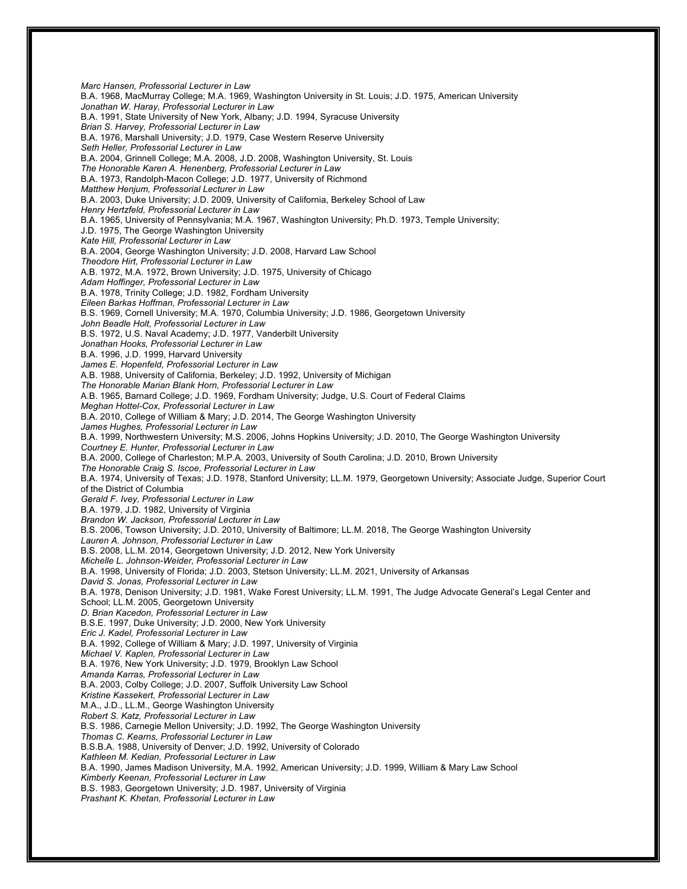*Marc Hansen, Professorial Lecturer in Law* B.A. 1968, MacMurray College; M.A. 1969, Washington University in St. Louis; J.D. 1975, American University *Jonathan W. Haray, Professorial Lecturer in Law* B.A. 1991, State University of New York, Albany; J.D. 1994, Syracuse University *Brian S. Harvey, Professorial Lecturer in Law* B.A. 1976, Marshall University; J.D. 1979, Case Western Reserve University *Seth Heller, Professorial Lecturer in Law* B.A. 2004, Grinnell College; M.A. 2008, J.D. 2008, Washington University, St. Louis *The Honorable Karen A. Henenberg, Professorial Lecturer in Law* B.A. 1973, Randolph-Macon College; J.D. 1977, University of Richmond *Matthew Henjum, Professorial Lecturer in Law* B.A. 2003, Duke University; J.D. 2009, University of California, Berkeley School of Law *Henry Hertzfeld, Professorial Lecturer in Law* B.A. 1965, University of Pennsylvania; M.A. 1967, Washington University; Ph.D. 1973, Temple University; J.D. 1975, The George Washington University *Kate Hill, Professorial Lecturer in Law* B.A. 2004, George Washington University; J.D. 2008, Harvard Law School *Theodore Hirt, Professorial Lecturer in Law* A.B. 1972, M.A. 1972, Brown University; J.D. 1975, University of Chicago *Adam Hoffinger, Professorial Lecturer in Law* B.A. 1978, Trinity College; J.D. 1982, Fordham University *Eileen Barkas Hoffman, Professorial Lecturer in Law* B.S. 1969, Cornell University; M.A. 1970, Columbia University; J.D. 1986, Georgetown University *John Beadle Holt, Professorial Lecturer in Law* B.S. 1972, U.S. Naval Academy; J.D. 1977, Vanderbilt University *Jonathan Hooks, Professorial Lecturer in Law* B.A. 1996, J.D. 1999, Harvard University *James E. Hopenfeld, Professorial Lecturer in Law* A.B. 1988, University of California, Berkeley; J.D. 1992, University of Michigan *The Honorable Marian Blank Horn, Professorial Lecturer in Law* A.B. 1965, Barnard College; J.D. 1969, Fordham University; Judge, U.S. Court of Federal Claims *Meghan Hottel-Cox, Professorial Lecturer in Law* B.A. 2010, College of William & Mary; J.D. 2014, The George Washington University *James Hughes, Professorial Lecturer in Law* B.A. 1999, Northwestern University; M.S. 2006, Johns Hopkins University; J.D. 2010, The George Washington University *Courtney E. Hunter, Professorial Lecturer in Law* B.A. 2000, College of Charleston; M.P.A. 2003, University of South Carolina; J.D. 2010, Brown University *The Honorable Craig S. Iscoe, Professorial Lecturer in Law* B.A. 1974, University of Texas; J.D. 1978, Stanford University; LL.M. 1979, Georgetown University; Associate Judge, Superior Court of the District of Columbia *Gerald F. Ivey, Professorial Lecturer in Law* B.A. 1979, J.D. 1982, University of Virginia *Brandon W. Jackson, Professorial Lecturer in Law* B.S. 2006, Towson University; J.D. 2010, University of Baltimore; LL.M. 2018, The George Washington University *Lauren A. Johnson, Professorial Lecturer in Law* B.S. 2008, LL.M. 2014, Georgetown University; J.D. 2012, New York University *Michelle L. Johnson-Weider, Professorial Lecturer in Law* B.A. 1998, University of Florida; J.D. 2003, Stetson University; LL.M. 2021, University of Arkansas *David S. Jonas, Professorial Lecturer in Law* B.A. 1978, Denison University; J.D. 1981, Wake Forest University; LL.M. 1991, The Judge Advocate General's Legal Center and School; LL.M. 2005, Georgetown University *D. Brian Kacedon, Professorial Lecturer in Law* B.S.E. 1997, Duke University; J.D. 2000, New York University *Eric J. Kadel, Professorial Lecturer in Law* B.A. 1992, College of William & Mary; J.D. 1997, University of Virginia *Michael V. Kaplen, Professorial Lecturer in Law* B.A. 1976, New York University; J.D. 1979, Brooklyn Law School *Amanda Karras, Professorial Lecturer in Law* B.A. 2003, Colby College; J.D. 2007, Suffolk University Law School *Kristine Kassekert, Professorial Lecturer in Law* M.A., J.D., LL.M., George Washington University *Robert S. Katz, Professorial Lecturer in Law* B.S. 1986, Carnegie Mellon University; J.D. 1992, The George Washington University *Thomas C. Kearns, Professorial Lecturer in Law* B.S.B.A. 1988, University of Denver; J.D. 1992, University of Colorado *Kathleen M. Kedian, Professorial Lecturer in Law* B.A. 1990, James Madison University, M.A. 1992, American University; J.D. 1999, William & Mary Law School *Kimberly Keenan, Professorial Lecturer in Law* B.S. 1983, Georgetown University; J.D. 1987, University of Virginia *Prashant K. Khetan, Professorial Lecturer in Law*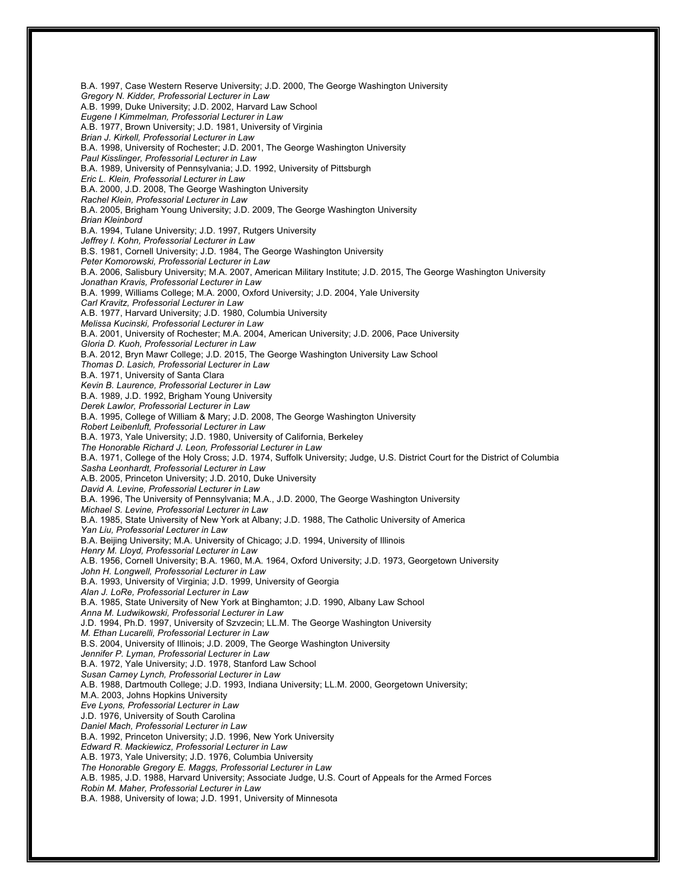B.A. 1997, Case Western Reserve University; J.D. 2000, The George Washington University *Gregory N. Kidder, Professorial Lecturer in Law* A.B. 1999, Duke University; J.D. 2002, Harvard Law School *Eugene I Kimmelman, Professorial Lecturer in Law* A.B. 1977, Brown University; J.D. 1981, University of Virginia *Brian J. Kirkell, Professorial Lecturer in Law* B.A. 1998, University of Rochester; J.D. 2001, The George Washington University *Paul Kisslinger, Professorial Lecturer in Law* B.A. 1989, University of Pennsylvania; J.D. 1992, University of Pittsburgh *Eric L. Klein, Professorial Lecturer in Law* B.A. 2000, J.D. 2008, The George Washington University *Rachel Klein, Professorial Lecturer in Law* B.A. 2005, Brigham Young University; J.D. 2009, The George Washington University *Brian Kleinbord* B.A. 1994, Tulane University; J.D. 1997, Rutgers University *Jeffrey I. Kohn, Professorial Lecturer in Law* B.S. 1981, Cornell University; J.D. 1984, The George Washington University *Peter Komorowski, Professorial Lecturer in Law* B.A. 2006, Salisbury University; M.A. 2007, American Military Institute; J.D. 2015, The George Washington University *Jonathan Kravis, Professorial Lecturer in Law* B.A. 1999, Williams College; M.A. 2000, Oxford University; J.D. 2004, Yale University *Carl Kravitz, Professorial Lecturer in Law* A.B. 1977, Harvard University; J.D. 1980, Columbia University *Melissa Kucinski, Professorial Lecturer in Law* B.A. 2001, University of Rochester; M.A. 2004, American University; J.D. 2006, Pace University *Gloria D. Kuoh, Professorial Lecturer in Law* B.A. 2012, Bryn Mawr College; J.D. 2015, The George Washington University Law School *Thomas D. Lasich, Professorial Lecturer in Law* B.A. 1971, University of Santa Clara *Kevin B. Laurence, Professorial Lecturer in Law* B.A. 1989, J.D. 1992, Brigham Young University *Derek Lawlor, Professorial Lecturer in Law* B.A. 1995, College of William & Mary; J.D. 2008, The George Washington University *Robert Leibenluft, Professorial Lecturer in Law* B.A. 1973, Yale University; J.D. 1980, University of California, Berkeley *The Honorable Richard J. Leon, Professorial Lecturer in Law* B.A. 1971, College of the Holy Cross; J.D. 1974, Suffolk University; Judge, U.S. District Court for the District of Columbia *Sasha Leonhardt, Professorial Lecturer in Law* A.B. 2005, Princeton University; J.D. 2010, Duke University *David A. Levine, Professorial Lecturer in Law* B.A. 1996, The University of Pennsylvania; M.A., J.D. 2000, The George Washington University *Michael S. Levine, Professorial Lecturer in Law* B.A. 1985, State University of New York at Albany; J.D. 1988, The Catholic University of America *Yan Liu, Professorial Lecturer in Law* B.A. Beijing University; M.A. University of Chicago; J.D. 1994, University of Illinois *Henry M. Lloyd, Professorial Lecturer in Law* A.B. 1956, Cornell University; B.A. 1960, M.A. 1964, Oxford University; J.D. 1973, Georgetown University *John H. Longwell, Professorial Lecturer in Law* B.A. 1993, University of Virginia; J.D. 1999, University of Georgia *Alan J. LoRe, Professorial Lecturer in Law* B.A. 1985, State University of New York at Binghamton; J.D. 1990, Albany Law School *Anna M. Ludwikowski, Professorial Lecturer in Law* J.D. 1994, Ph.D. 1997, University of Szvzecin; LL.M. The George Washington University *M. Ethan Lucarelli, Professorial Lecturer in Law* B.S. 2004, University of Illinois; J.D. 2009, The George Washington University *Jennifer P. Lyman, Professorial Lecturer in Law* B.A. 1972, Yale University; J.D. 1978, Stanford Law School *Susan Carney Lynch, Professorial Lecturer in Law* A.B. 1988, Dartmouth College; J.D. 1993, Indiana University; LL.M. 2000, Georgetown University; M.A. 2003, Johns Hopkins University *Eve Lyons, Professorial Lecturer in Law* J.D. 1976, University of South Carolina *Daniel Mach, Professorial Lecturer in Law* B.A. 1992, Princeton University; J.D. 1996, New York University *Edward R. Mackiewicz, Professorial Lecturer in Law* A.B. 1973, Yale University; J.D. 1976, Columbia University *The Honorable Gregory E. Maggs, Professorial Lecturer in Law* A.B. 1985, J.D. 1988, Harvard University; Associate Judge, U.S. Court of Appeals for the Armed Forces *Robin M. Maher, Professorial Lecturer in Law* B.A. 1988, University of Iowa; J.D. 1991, University of Minnesota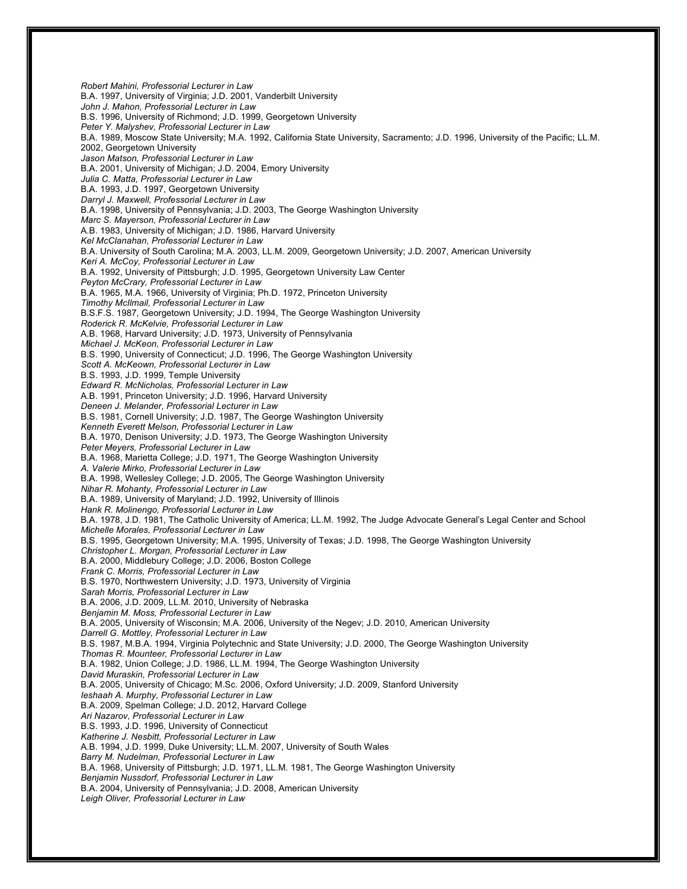*Robert Mahini, Professorial Lecturer in Law* B.A. 1997, University of Virginia; J.D. 2001, Vanderbilt University *John J. Mahon, Professorial Lecturer in Law* B.S. 1996, University of Richmond; J.D. 1999, Georgetown University *Peter Y. Malyshev, Professorial Lecturer in Law* B.A. 1989, Moscow State University; M.A. 1992, California State University, Sacramento; J.D. 1996, University of the Pacific; LL.M. 2002, Georgetown University *Jason Matson, Professorial Lecturer in Law* B.A. 2001, University of Michigan; J.D. 2004, Emory University *Julia C. Matta, Professorial Lecturer in Law* B.A. 1993, J.D. 1997, Georgetown University *Darryl J. Maxwell, Professorial Lecturer in Law* B.A. 1998, University of Pennsylvania; J.D. 2003, The George Washington University *Marc S. Mayerson, Professorial Lecturer in Law* A.B. 1983, University of Michigan; J.D. 1986, Harvard University *Kel McClanahan, Professorial Lecturer in Law* B.A. University of South Carolina; M.A. 2003, LL.M. 2009, Georgetown University; J.D. 2007, American University *Keri A. McCoy, Professorial Lecturer in Law* B.A. 1992, University of Pittsburgh; J.D. 1995, Georgetown University Law Center *Peyton McCrary, Professorial Lecturer in Law* B.A. 1965, M.A. 1966, University of Virginia; Ph.D. 1972, Princeton University *Timothy McIlmail, Professorial Lecturer in Law* B.S.F.S. 1987, Georgetown University; J.D. 1994, The George Washington University *Roderick R. McKelvie, Professorial Lecturer in Law* A.B. 1968, Harvard University; J.D. 1973, University of Pennsylvania *Michael J. McKeon, Professorial Lecturer in Law* B.S. 1990, University of Connecticut; J.D. 1996, The George Washington University *Scott A. McKeown, Professorial Lecturer in Law* B.S. 1993, J.D. 1999, Temple University *Edward R. McNicholas, Professorial Lecturer in Law* A.B. 1991, Princeton University; J.D. 1996, Harvard University *Deneen J. Melander, Professorial Lecturer in Law* B.S. 1981, Cornell University; J.D. 1987, The George Washington University *Kenneth Everett Melson, Professorial Lecturer in Law* B.A. 1970, Denison University; J.D. 1973, The George Washington University *Peter Meyers, Professorial Lecturer in Law* B.A. 1968, Marietta College; J.D. 1971, The George Washington University *A. Valerie Mirko, Professorial Lecturer in Law* B.A. 1998, Wellesley College; J.D. 2005, The George Washington University *Nihar R. Mohanty, Professorial Lecturer in Law* B.A. 1989, University of Maryland; J.D. 1992, University of Illinois *Hank R. Molinengo, Professorial Lecturer in Law* B.A. 1978, J.D. 1981, The Catholic University of America; LL.M. 1992, The Judge Advocate General's Legal Center and School *Michelle Morales, Professorial Lecturer in Law* B.S. 1995, Georgetown University; M.A. 1995, University of Texas; J.D. 1998, The George Washington University *Christopher L. Morgan, Professorial Lecturer in Law* B.A. 2000, Middlebury College; J.D. 2006, Boston College *Frank C. Morris, Professorial Lecturer in Law* B.S. 1970, Northwestern University; J.D. 1973, University of Virginia *Sarah Morris, Professorial Lecturer in Law* B.A. 2006, J.D. 2009, LL.M. 2010, University of Nebraska *Benjamin M. Moss, Professorial Lecturer in Law* B.A. 2005, University of Wisconsin; M.A. 2006, University of the Negev; J.D. 2010, American University *Darrell G. Mottley, Professorial Lecturer in Law* B.S. 1987, M.B.A. 1994, Virginia Polytechnic and State University; J.D. 2000, The George Washington University *Thomas R. Mounteer, Professorial Lecturer in Law* B.A. 1982, Union College; J.D. 1986, LL.M. 1994, The George Washington University *David Muraskin, Professorial Lecturer in Law* B.A. 2005, University of Chicago; M.Sc. 2006, Oxford University; J.D. 2009, Stanford University *Ieshaah A. Murphy, Professorial Lecturer in Law* B.A. 2009, Spelman College; J.D. 2012, Harvard College *Ari Nazarov, Professorial Lecturer in Law* B.S. 1993, J.D. 1996, University of Connecticut *Katherine J. Nesbitt, Professorial Lecturer in Law* A.B. 1994, J.D. 1999, Duke University; LL.M. 2007, University of South Wales *Barry M. Nudelman, Professorial Lecturer in Law* B.A. 1968, University of Pittsburgh; J.D. 1971, LL.M. 1981, The George Washington University *Benjamin Nussdorf, Professorial Lecturer in Law* B.A. 2004, University of Pennsylvania; J.D. 2008, American University *Leigh Oliver, Professorial Lecturer in Law*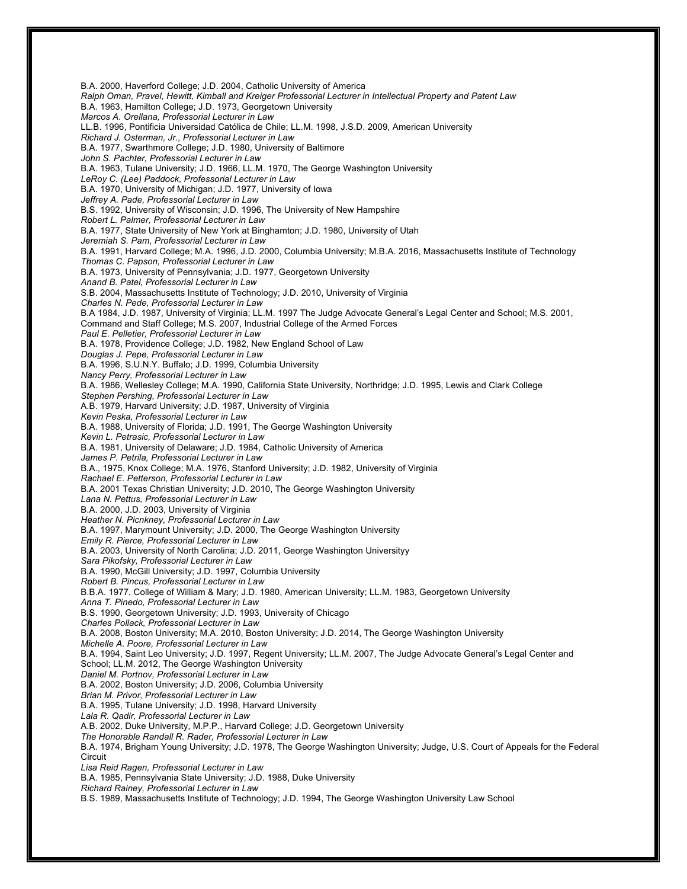B.A. 2000, Haverford College; J.D. 2004, Catholic University of America *Ralph Oman, Pravel, Hewitt, Kimball and Kreiger Professorial Lecturer in Intellectual Property and Patent Law* B.A. 1963, Hamilton College; J.D. 1973, Georgetown University *Marcos A. Orellana, Professorial Lecturer in Law* LL.B. 1996, Pontificia Universidad Católica de Chile; LL.M. 1998, J.S.D. 2009, American University *Richard J. Osterman, Jr., Professorial Lecturer in Law* B.A. 1977, Swarthmore College; J.D. 1980, University of Baltimore *John S. Pachter, Professorial Lecturer in Law* B.A. 1963, Tulane University; J.D. 1966, LL.M. 1970, The George Washington University *LeRoy C. (Lee) Paddock, Professorial Lecturer in Law* B.A. 1970, University of Michigan; J.D. 1977, University of Iowa *Jeffrey A. Pade, Professorial Lecturer in Law* B.S. 1992, University of Wisconsin; J.D. 1996, The University of New Hampshire *Robert L. Palmer, Professorial Lecturer in Law* B.A. 1977, State University of New York at Binghamton; J.D. 1980, University of Utah *Jeremiah S. Pam, Professorial Lecturer in Law* B.A. 1991, Harvard College; M.A. 1996, J.D. 2000, Columbia University; M.B.A. 2016, Massachusetts Institute of Technology *Thomas C. Papson, Professorial Lecturer in Law* B.A. 1973, University of Pennsylvania; J.D. 1977, Georgetown University *Anand B. Patel, Professorial Lecturer in Law* S.B. 2004, Massachusetts Institute of Technology; J.D. 2010, University of Virginia *Charles N. Pede, Professorial Lecturer in Law* B.A 1984, J.D. 1987, University of Virginia; LL.M. 1997 The Judge Advocate General's Legal Center and School; M.S. 2001, Command and Staff College; M.S. 2007, Industrial College of the Armed Forces *Paul E. Pelletier, Professorial Lecturer in Law* B.A. 1978, Providence College; J.D. 1982, New England School of Law *Douglas J. Pepe, Professorial Lecturer in Law* B.A. 1996, S.U.N.Y. Buffalo; J.D. 1999, Columbia University *Nancy Perry, Professorial Lecturer in Law* B.A. 1986, Wellesley College; M.A. 1990, California State University, Northridge; J.D. 1995, Lewis and Clark College *Stephen Pershing, Professorial Lecturer in Law* A.B. 1979, Harvard University; J.D. 1987, University of Virginia *Kevin Peska, Professorial Lecturer in Law* B.A. 1988, University of Florida; J.D. 1991, The George Washington University *Kevin L. Petrasic, Professorial Lecturer in Law* B.A. 1981, University of Delaware; J.D. 1984, Catholic University of America *James P. Petrila, Professorial Lecturer in Law* B.A., 1975, Knox College; M.A. 1976, Stanford University; J.D. 1982, University of Virginia *Rachael E. Petterson, Professorial Lecturer in Law* B.A. 2001 Texas Christian University; J.D. 2010, The George Washington University *Lana N. Pettus, Professorial Lecturer in Law* B.A. 2000, J.D. 2003, University of Virginia *Heather N. Picnkney, Professorial Lecturer in Law* B.A. 1997, Marymount University; J.D. 2000, The George Washington University *Emily R. Pierce, Professorial Lecturer in Law* B.A. 2003, University of North Carolina; J.D. 2011, George Washington Universityy *Sara Pikofsky, Professorial Lecturer in Law* B.A. 1990, McGill University; J.D. 1997, Columbia University *Robert B. Pincus, Professorial Lecturer in Law* B.B.A. 1977, College of William & Mary; J.D. 1980, American University; LL.M. 1983, Georgetown University *Anna T. Pinedo, Professorial Lecturer in Law* B.S. 1990, Georgetown University; J.D. 1993, University of Chicago *Charles Pollack, Professorial Lecturer in Law* B.A. 2008, Boston University; M.A. 2010, Boston University; J.D. 2014, The George Washington University *Michelle A. Poore, Professorial Lecturer in Law* B.A. 1994, Saint Leo University; J.D. 1997, Regent University; LL.M. 2007, The Judge Advocate General's Legal Center and School; LL.M. 2012, The George Washington University *Daniel M. Portnov, Professorial Lecturer in Law* B.A. 2002, Boston University; J.D. 2006, Columbia University *Brian M. Privor, Professorial Lecturer in Law* B.A. 1995, Tulane University; J.D. 1998, Harvard University *Lala R. Qadir, Professorial Lecturer in Law* A.B. 2002, Duke University, M.P.P., Harvard College; J.D. Georgetown University *The Honorable Randall R. Rader, Professorial Lecturer in Law* B.A. 1974, Brigham Young University; J.D. 1978, The George Washington University; Judge, U.S. Court of Appeals for the Federal Circuit *Lisa Reid Ragen, Professorial Lecturer in Law* B.A. 1985, Pennsylvania State University; J.D. 1988, Duke University *Richard Rainey, Professorial Lecturer in Law* B.S. 1989, Massachusetts Institute of Technology; J.D. 1994, The George Washington University Law School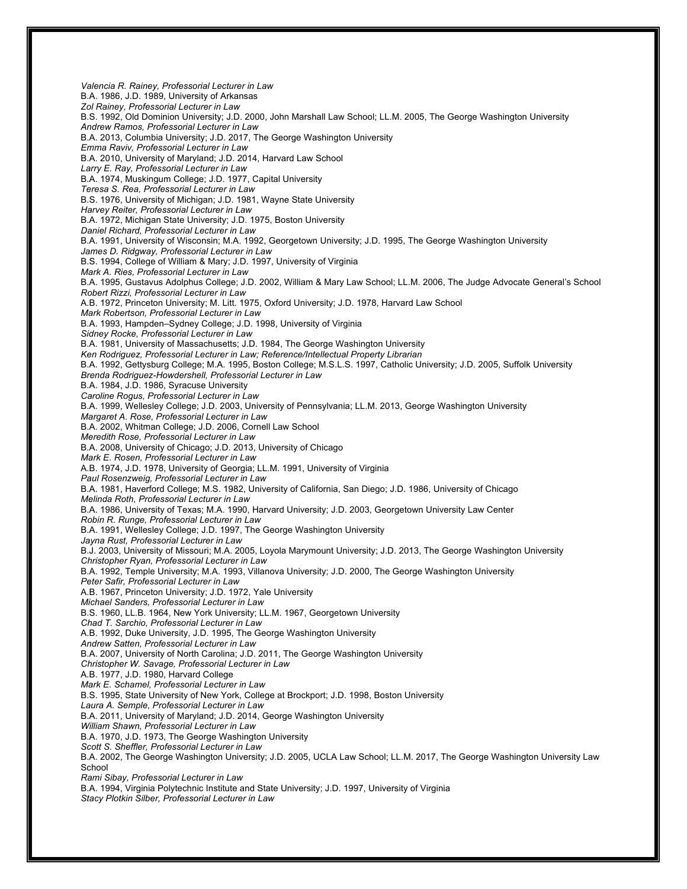*Valencia R. Rainey, Professorial Lecturer in Law* B.A. 1986, J.D. 1989, University of Arkansas *Zol Rainey, Professorial Lecturer in Law* B.S. 1992, Old Dominion University; J.D. 2000, John Marshall Law School; LL.M. 2005, The George Washington University *Andrew Ramos, Professorial Lecturer in Law* B.A. 2013, Columbia University; J.D. 2017, The George Washington University *Emma Raviv, Professorial Lecturer in Law* B.A. 2010, University of Maryland; J.D. 2014, Harvard Law School *Larry E. Ray, Professorial Lecturer in Law* B.A. 1974, Muskingum College; J.D. 1977, Capital University *Teresa S. Rea, Professorial Lecturer in Law* B.S. 1976, University of Michigan; J.D. 1981, Wayne State University *Harvey Reiter, Professorial Lecturer in Law* B.A. 1972, Michigan State University; J.D. 1975, Boston University *Daniel Richard, Professorial Lecturer in Law* B.A. 1991, University of Wisconsin; M.A. 1992, Georgetown University; J.D. 1995, The George Washington University *James D. Ridgway, Professorial Lecturer in Law* B.S. 1994, College of William & Mary; J.D. 1997, University of Virginia *Mark A. Ries, Professorial Lecturer in Law* B.A. 1995, Gustavus Adolphus College; J.D. 2002, William & Mary Law School; LL.M. 2006, The Judge Advocate General's School *Robert Rizzi, Professorial Lecturer in Law* A.B. 1972, Princeton University; M. Litt. 1975, Oxford University; J.D. 1978, Harvard Law School *Mark Robertson, Professorial Lecturer in Law* B.A. 1993, Hampden–Sydney College; J.D. 1998, University of Virginia *Sidney Rocke, Professorial Lecturer in Law* B.A. 1981, University of Massachusetts; J.D. 1984, The George Washington University *Ken Rodriguez, Professorial Lecturer in Law; Reference/Intellectual Property Librarian* B.A. 1992, Gettysburg College; M.A. 1995, Boston College; M.S.L.S. 1997, Catholic University; J.D. 2005, Suffolk University *Brenda Rodriguez-Howdershell, Professorial Lecturer in Law* B.A. 1984, J.D. 1986, Syracuse University *Caroline Rogus, Professorial Lecturer in Law* B.A. 1999, Wellesley College; J.D. 2003, University of Pennsylvania; LL.M. 2013, George Washington University *Margaret A. Rose, Professorial Lecturer in Law* B.A. 2002, Whitman College; J.D. 2006, Cornell Law School *Meredith Rose, Professorial Lecturer in Law* B.A. 2008, University of Chicago; J.D. 2013, University of Chicago *Mark E. Rosen, Professorial Lecturer in Law* A.B. 1974, J.D. 1978, University of Georgia; LL.M. 1991, University of Virginia *Paul Rosenzweig, Professorial Lecturer in Law* B.A. 1981, Haverford College; M.S. 1982, University of California, San Diego; J.D. 1986, University of Chicago *Melinda Roth, Professorial Lecturer in Law* B.A. 1986, University of Texas; M.A. 1990, Harvard University; J.D. 2003, Georgetown University Law Center *Robin R. Runge, Professorial Lecturer in Law* B.A. 1991, Wellesley College; J.D. 1997, The George Washington University *Jayna Rust, Professorial Lecturer in Law* B.J. 2003, University of Missouri; M.A. 2005, Loyola Marymount University; J.D. 2013, The George Washington University *Christopher Ryan, Professorial Lecturer in Law* B.A. 1992, Temple University; M.A. 1993, Villanova University; J.D. 2000, The George Washington University *Peter Safir, Professorial Lecturer in Law* A.B. 1967, Princeton University; J.D. 1972, Yale University *Michael Sanders, Professorial Lecturer in Law* B.S. 1960, LL.B. 1964, New York University; LL.M. 1967, Georgetown University *Chad T. Sarchio, Professorial Lecturer in Law* A.B. 1992, Duke University, J.D. 1995, The George Washington University *Andrew Satten, Professorial Lecturer in Law* B.A. 2007, University of North Carolina; J.D. 2011, The George Washington University *Christopher W. Savage, Professorial Lecturer in Law* A.B. 1977, J.D. 1980, Harvard College *Mark E. Schamel, Professorial Lecturer in Law* B.S. 1995, State University of New York, College at Brockport; J.D. 1998, Boston University *Laura A. Semple, Professorial Lecturer in Law* B.A. 2011, University of Maryland; J.D. 2014, George Washington University *William Shawn, Professorial Lecturer in Law* B.A. 1970, J.D. 1973, The George Washington University *Scott S. Sheffler, Professorial Lecturer in Law* B.A. 2002, The George Washington University; J.D. 2005, UCLA Law School; LL.M. 2017, The George Washington University Law School *Rami Sibay, Professorial Lecturer in Law* B.A. 1994, Virginia Polytechnic Institute and State University; J.D. 1997, University of Virginia *Stacy Plotkin Silber, Professorial Lecturer in Law*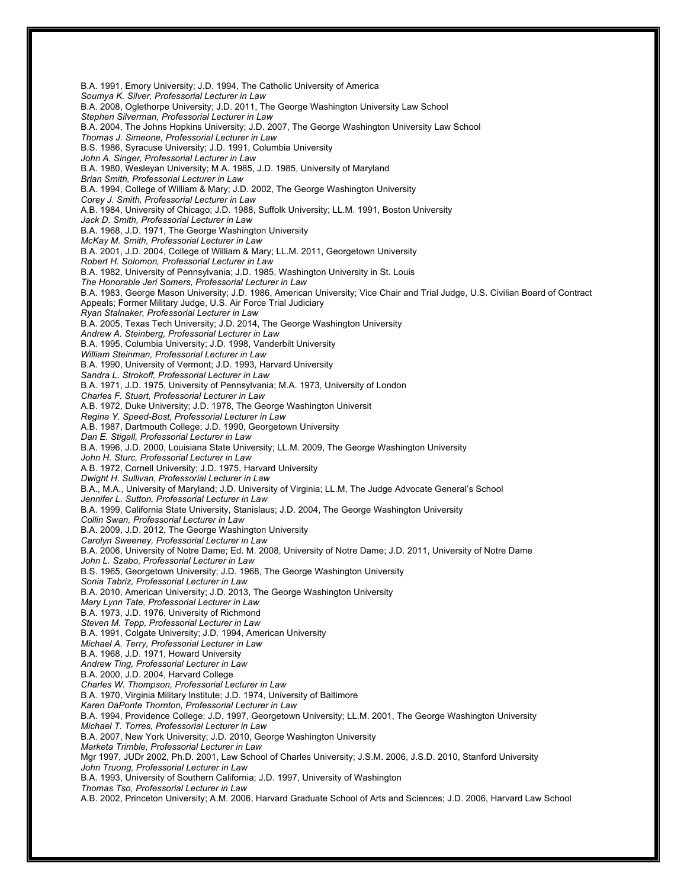B.A. 1991, Emory University; J.D. 1994, The Catholic University of America *Soumya K. Silver, Professorial Lecturer in Law* B.A. 2008, Oglethorpe University; J.D. 2011, The George Washington University Law School *Stephen Silverman, Professorial Lecturer in Law* B.A. 2004, The Johns Hopkins University; J.D. 2007, The George Washington University Law School *Thomas J. Simeone, Professorial Lecturer in Law* B.S. 1986, Syracuse University; J.D. 1991, Columbia University *John A. Singer, Professorial Lecturer in Law* B.A. 1980, Wesleyan University; M.A. 1985, J.D. 1985, University of Maryland *Brian Smith, Professorial Lecturer in Law* B.A. 1994, College of William & Mary; J.D. 2002, The George Washington University *Corey J. Smith, Professorial Lecturer in Law* A.B. 1984, University of Chicago; J.D. 1988, Suffolk University; LL.M. 1991, Boston University *Jack D. Smith, Professorial Lecturer in Law* B.A. 1968, J.D. 1971, The George Washington University *McKay M. Smith, Professorial Lecturer in Law* B.A. 2001, J.D. 2004, College of William & Mary; LL.M. 2011, Georgetown University *Robert H. Solomon, Professorial Lecturer in Law* B.A. 1982, University of Pennsylvania; J.D. 1985, Washington University in St. Louis *The Honorable Jeri Somers, Professorial Lecturer in Law* B.A. 1983, George Mason University; J.D. 1986, American University; Vice Chair and Trial Judge, U.S. Civilian Board of Contract Appeals; Former Military Judge, U.S. Air Force Trial Judiciary *Ryan Stalnaker, Professorial Lecturer in Law* B.A. 2005, Texas Tech University; J.D. 2014, The George Washington University *Andrew A. Steinberg, Professorial Lecturer in Law* B.A. 1995, Columbia University; J.D. 1998, Vanderbilt University *William Steinman, Professorial Lecturer in Law* B.A. 1990, University of Vermont; J.D. 1993, Harvard University *Sandra L. Strokoff, Professorial Lecturer in Law* B.A. 1971, J.D. 1975, University of Pennsylvania; M.A. 1973, University of London *Charles F. Stuart, Professorial Lecturer in Law* A.B. 1972, Duke University; J.D. 1978, The George Washington Universit *Regina Y. Speed-Bost, Professorial Lecturer in Law* A.B. 1987, Dartmouth College; J.D. 1990, Georgetown University *Dan E. Stigall, Professorial Lecturer in Law* B.A. 1996, J.D. 2000, Louisiana State University; LL.M. 2009, The George Washington University *John H. Sturc, Professorial Lecturer in Law* A.B. 1972, Cornell University; J.D. 1975, Harvard University *Dwight H. Sullivan, Professorial Lecturer in Law* B.A., M.A., University of Maryland; J.D. University of Virginia; LL.M, The Judge Advocate General's School *Jennifer L. Sutton, Professorial Lecturer in Law* B.A. 1999, California State University, Stanislaus; J.D. 2004, The George Washington University *Collin Swan, Professorial Lecturer in Law* B.A. 2009, J.D. 2012, The George Washington University *Carolyn Sweeney, Professorial Lecturer in Law* B.A. 2006, University of Notre Dame; Ed. M. 2008, University of Notre Dame; J.D. 2011, University of Notre Dame *John L. Szabo, Professorial Lecturer in Law* B.S. 1965, Georgetown University; J.D. 1968, The George Washington University *Sonia Tabriz, Professorial Lecturer in Law* B.A. 2010, American University; J.D. 2013, The George Washington University *Mary Lynn Tate, Professorial Lecturer in Law* B.A. 1973, J.D. 1976, University of Richmond *Steven M. Tepp, Professorial Lecturer in Law* B.A. 1991, Colgate University; J.D. 1994, American University *Michael A. Terry, Professorial Lecturer in Law* B.A. 1968, J.D. 1971, Howard University *Andrew Ting, Professorial Lecturer in Law* B.A. 2000, J.D. 2004, Harvard College *Charles W. Thompson, Professorial Lecturer in Law* B.A. 1970, Virginia Military Institute; J.D. 1974, University of Baltimore *Karen DaPonte Thornton, Professorial Lecturer in Law* B.A. 1994, Providence College; J.D. 1997, Georgetown University; LL.M. 2001, The George Washington University *Michael T. Torres, Professorial Lecturer in Law* B.A. 2007, New York University; J.D. 2010, George Washington University *Marketa Trimble, Professorial Lecturer in Law* Mgr 1997, JUDr 2002, Ph.D. 2001, Law School of Charles University; J.S.M. 2006, J.S.D. 2010, Stanford University *John Truong, Professorial Lecturer in Law* B.A. 1993, University of Southern California; J.D. 1997, University of Washington *Thomas Tso, Professorial Lecturer in Law* A.B. 2002, Princeton University; A.M. 2006, Harvard Graduate School of Arts and Sciences; J.D. 2006, Harvard Law School